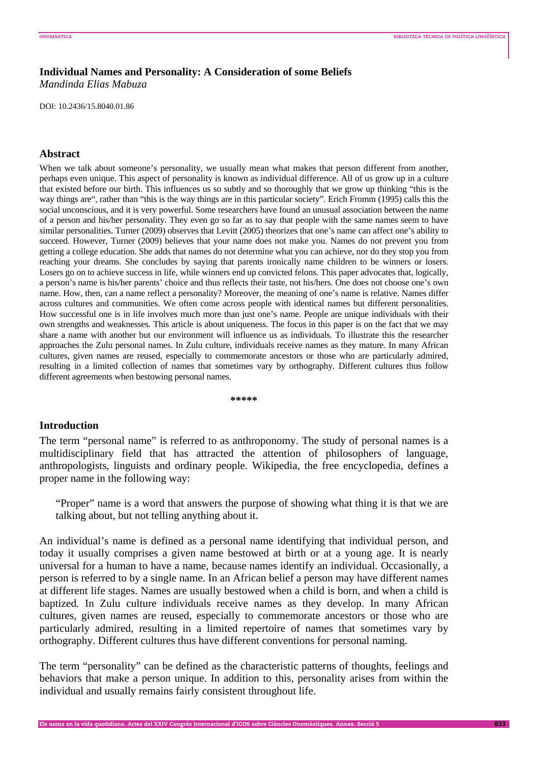# **Individual Names and Personality: A Consideration of some Beliefs**

*Mandinda Elias Mabuza* 

DOI: 10.2436/15.8040.01.86

# **Abstract**

When we talk about someone's personality, we usually mean what makes that person different from another, perhaps even unique. This aspect of personality is known as individual difference. All of us grow up in a culture that existed before our birth. This influences us so subtly and so thoroughly that we grow up thinking "this is the way things are", rather than "this is the way things are in this particular society". Erich Fromm (1995) calls this the social unconscious, and it is very powerful. Some researchers have found an unusual association between the name of a person and his/her personality. They even go so far as to say that people with the same names seem to have similar personalities. Turner (2009) observes that Levitt (2005) theorizes that one's name can affect one's ability to succeed. However, Turner (2009) believes that your name does not make you. Names do not prevent you from getting a college education. She adds that names do not determine what you can achieve, nor do they stop you from reaching your dreams. She concludes by saying that parents ironically name children to be winners or losers. Losers go on to achieve success in life, while winners end up convicted felons. This paper advocates that, logically, a person's name is his/her parents' choice and thus reflects their taste, not his/hers. One does not choose one's own name. How, then, can a name reflect a personality? Moreover, the meaning of one's name is relative. Names differ across cultures and communities. We often come across people with identical names but different personalities. How successful one is in life involves much more than just one's name. People are unique individuals with their own strengths and weaknesses. This article is about uniqueness. The focus in this paper is on the fact that we may share a name with another but our environment will influence us as individuals. To illustrate this the researcher approaches the Zulu personal names. In Zulu culture, individuals receive names as they mature. In many African cultures, given names are reused, especially to commemorate ancestors or those who are particularly admired, resulting in a limited collection of names that sometimes vary by orthography. Different cultures thus follow different agreements when bestowing personal names.

**\*\*\*\*\*** 

## **Introduction**

The term "personal name" is referred to as anthroponomy. The study of personal names is a multidisciplinary field that has attracted the attention of philosophers of language, anthropologists, linguists and ordinary people. Wikipedia, the free encyclopedia, defines a proper name in the following way:

"Proper" name is a word that answers the purpose of showing what thing it is that we are talking about, but not telling anything about it.

An individual's name is defined as a personal name identifying that individual person, and today it usually comprises a given name bestowed at birth or at a young age. It is nearly universal for a human to have a name, because names identify an individual. Occasionally, a person is referred to by a single name. In an African belief a person may have different names at different life stages. Names are usually bestowed when a child is born, and when a child is baptized. In Zulu culture individuals receive names as they develop. In many African cultures, given names are reused, especially to commemorate ancestors or those who are particularly admired, resulting in a limited repertoire of names that sometimes vary by orthography. Different cultures thus have different conventions for personal naming.

The term "personality" can be defined as the characteristic patterns of thoughts, feelings and behaviors that make a person unique. In addition to this, personality arises from within the individual and usually remains fairly consistent throughout life.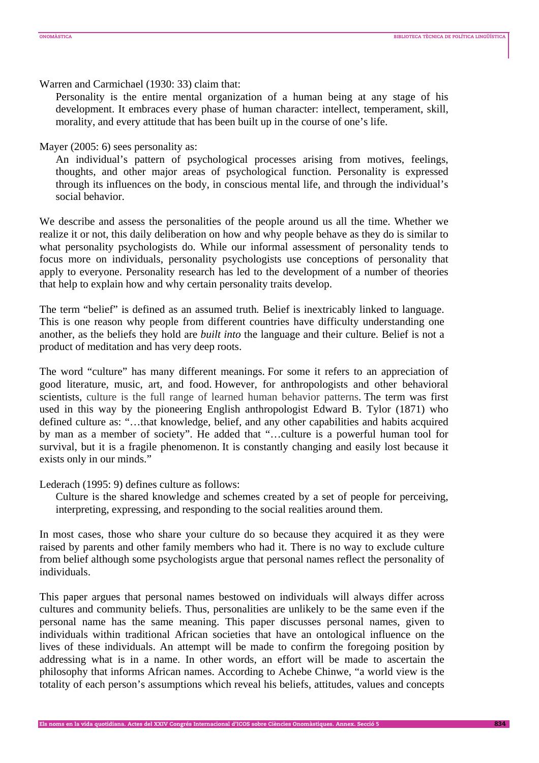Warren and Carmichael (1930: 33) claim that:

Personality is the entire mental organization of a human being at any stage of his development. It embraces every phase of human character: intellect, temperament, skill, morality, and every attitude that has been built up in the course of one's life.

Mayer (2005: 6) sees personality as:

An individual's pattern of psychological processes arising from motives, feelings, thoughts, and other major areas of psychological function. Personality is expressed through its influences on the body, in conscious mental life, and through the individual's social behavior.

We describe and assess the personalities of the people around us all the time. Whether we realize it or not, this daily deliberation on how and why people behave as they do is similar to what personality psychologists do. While our informal assessment of personality tends to focus more on individuals, personality psychologists use conceptions of personality that apply to everyone. Personality research has led to the development of a number of theories that help to explain how and why certain personality traits develop.

The term "belief" is defined as an assumed truth*.* Belief is inextricably linked to language. This is one reason why people from different countries have difficulty understanding one another, as the beliefs they hold are *built into* the language and their culture. Belief is not a product of meditation and has very deep roots.

The word "culture" has many different meanings. For some it refers to an appreciation of good literature, music, art, and food. However, for anthropologists and other behavioral scientists, culture is the full range of learned human behavior patterns. The term was first used in this way by the pioneering English anthropologist Edward B. Tylor (1871) who defined culture as: "…that knowledge, belief, and any other capabilities and habits acquired by man as a member of society". He added that "…culture is a powerful human tool for survival, but it is a fragile phenomenon. It is constantly changing and easily lost because it exists only in our minds."

Lederach (1995: 9) defines culture as follows:

Culture is the shared knowledge and schemes created by a set of people for perceiving, interpreting, expressing, and responding to the social realities around them.

In most cases, those who share your culture do so because they acquired it as they were raised by parents and other family members who had it. There is no way to exclude culture from belief although some psychologists argue that personal names reflect the personality of individuals.

This paper argues that personal names bestowed on individuals will always differ across cultures and community beliefs. Thus, personalities are unlikely to be the same even if the personal name has the same meaning. This paper discusses personal names, given to individuals within traditional African societies that have an ontological influence on the lives of these individuals. An attempt will be made to confirm the foregoing position by addressing what is in a name. In other words, an effort will be made to ascertain the philosophy that informs African names. According to Achebe Chinwe, "a world view is the totality of each person's assumptions which reveal his beliefs, attitudes, values and concepts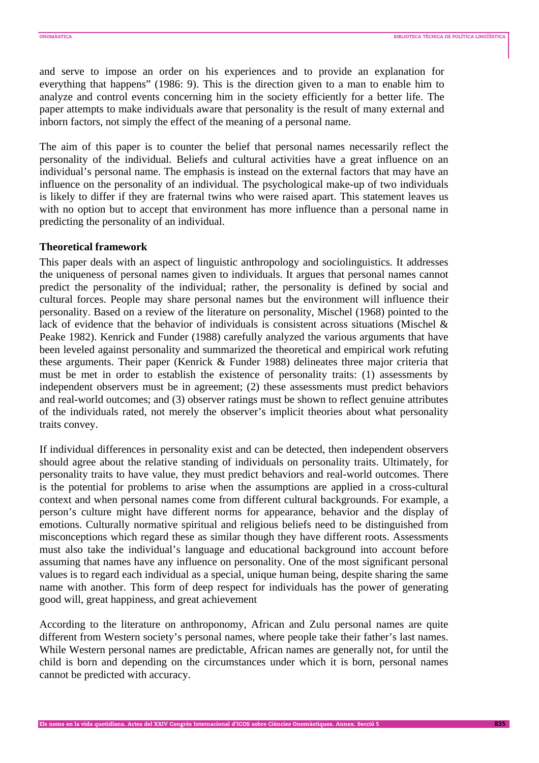and serve to impose an order on his experiences and to provide an explanation for everything that happens" (1986: 9). This is the direction given to a man to enable him to analyze and control events concerning him in the society efficiently for a better life. The paper attempts to make individuals aware that personality is the result of many external and inborn factors, not simply the effect of the meaning of a personal name.

The aim of this paper is to counter the belief that personal names necessarily reflect the personality of the individual. Beliefs and cultural activities have a great influence on an individual's personal name. The emphasis is instead on the external factors that may have an influence on the personality of an individual. The psychological make-up of two individuals is likely to differ if they are fraternal twins who were raised apart. This statement leaves us with no option but to accept that environment has more influence than a personal name in predicting the personality of an individual.

#### **Theoretical framework**

This paper deals with an aspect of linguistic anthropology and sociolinguistics. It addresses the uniqueness of personal names given to individuals. It argues that personal names cannot predict the personality of the individual; rather, the personality is defined by social and cultural forces. People may share personal names but the environment will influence their personality. Based on a review of the literature on personality, Mischel (1968) pointed to the lack of evidence that the behavior of individuals is consistent across situations (Mischel & Peake 1982). Kenrick and Funder (1988) carefully analyzed the various arguments that have been leveled against personality and summarized the theoretical and empirical work refuting these arguments. Their paper (Kenrick & Funder 1988) delineates three major criteria that must be met in order to establish the existence of personality traits: (1) assessments by independent observers must be in agreement; (2) these assessments must predict behaviors and real-world outcomes; and (3) observer ratings must be shown to reflect genuine attributes of the individuals rated, not merely the observer's implicit theories about what personality traits convey.

If individual differences in personality exist and can be detected, then independent observers should agree about the relative standing of individuals on personality traits. Ultimately, for personality traits to have value, they must predict behaviors and real-world outcomes. There is the potential for problems to arise when the assumptions are applied in a cross-cultural context and when personal names come from different cultural backgrounds. For example, a person's culture might have different norms for appearance, behavior and the display of emotions. Culturally normative spiritual and religious beliefs need to be distinguished from misconceptions which regard these as similar though they have different roots. Assessments must also take the individual's language and educational background into account before assuming that names have any influence on personality. One of the most significant personal values is to regard each individual as a special, unique human being, despite sharing the same name with another. This form of deep respect for individuals has the power of generating good will, great happiness, and great achievement

According to the literature on anthroponomy, African and Zulu personal names are quite different from Western society's personal names, where people take their father's last names. While Western personal names are predictable, African names are generally not, for until the child is born and depending on the circumstances under which it is born, personal names cannot be predicted with accuracy.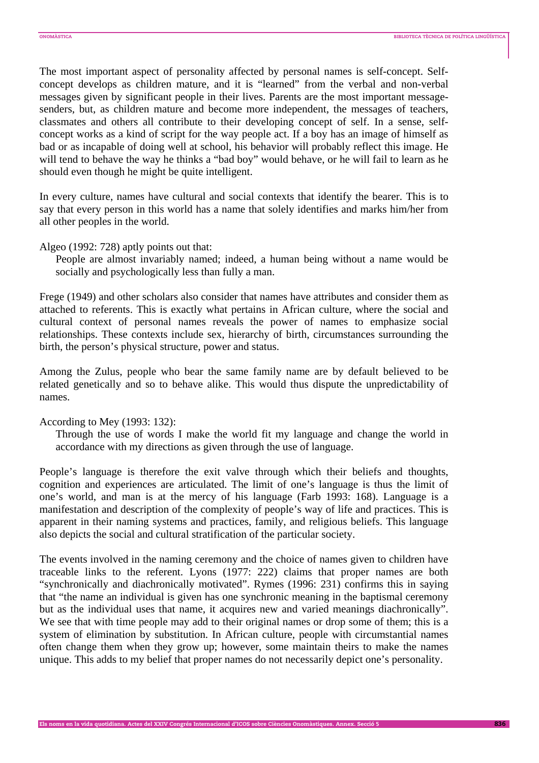The most important aspect of personality affected by personal names is self-concept. Selfconcept develops as children mature, and it is "learned" from the verbal and non-verbal messages given by significant people in their lives. Parents are the most important messagesenders, but, as children mature and become more independent, the messages of teachers, classmates and others all contribute to their developing concept of self. In a sense, selfconcept works as a kind of script for the way people act. If a boy has an image of himself as bad or as incapable of doing well at school, his behavior will probably reflect this image. He will tend to behave the way he thinks a "bad boy" would behave, or he will fail to learn as he should even though he might be quite intelligent.

In every culture, names have cultural and social contexts that identify the bearer. This is to say that every person in this world has a name that solely identifies and marks him/her from all other peoples in the world.

Algeo (1992: 728) aptly points out that:

People are almost invariably named; indeed, a human being without a name would be socially and psychologically less than fully a man.

Frege (1949) and other scholars also consider that names have attributes and consider them as attached to referents. This is exactly what pertains in African culture, where the social and cultural context of personal names reveals the power of names to emphasize social relationships. These contexts include sex, hierarchy of birth, circumstances surrounding the birth, the person's physical structure, power and status.

Among the Zulus, people who bear the same family name are by default believed to be related genetically and so to behave alike. This would thus dispute the unpredictability of names.

# According to Mey (1993: 132):

Through the use of words I make the world fit my language and change the world in accordance with my directions as given through the use of language.

People's language is therefore the exit valve through which their beliefs and thoughts, cognition and experiences are articulated. The limit of one's language is thus the limit of one's world, and man is at the mercy of his language (Farb 1993: 168). Language is a manifestation and description of the complexity of people's way of life and practices. This is apparent in their naming systems and practices, family, and religious beliefs. This language also depicts the social and cultural stratification of the particular society.

The events involved in the naming ceremony and the choice of names given to children have traceable links to the referent. Lyons (1977: 222) claims that proper names are both "synchronically and diachronically motivated". Rymes (1996: 231) confirms this in saying that "the name an individual is given has one synchronic meaning in the baptismal ceremony but as the individual uses that name, it acquires new and varied meanings diachronically". We see that with time people may add to their original names or drop some of them; this is a system of elimination by substitution. In African culture, people with circumstantial names often change them when they grow up; however, some maintain theirs to make the names unique. This adds to my belief that proper names do not necessarily depict one's personality.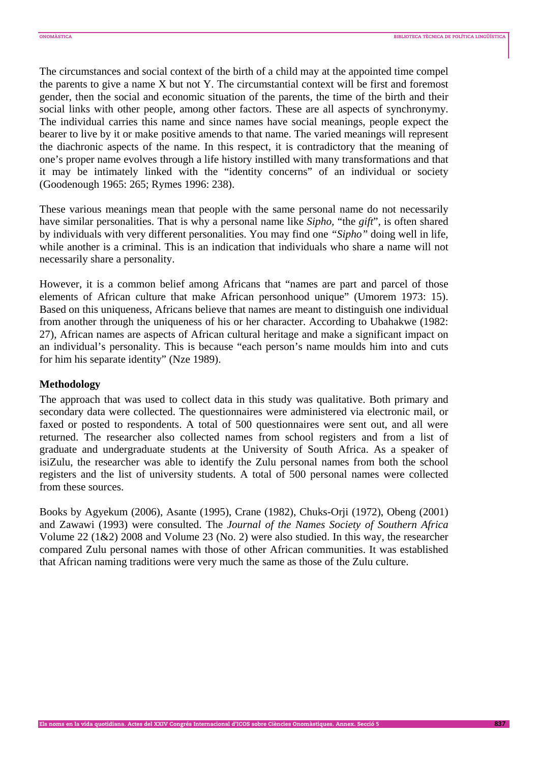The circumstances and social context of the birth of a child may at the appointed time compel the parents to give a name X but not Y. The circumstantial context will be first and foremost gender, then the social and economic situation of the parents, the time of the birth and their social links with other people, among other factors. These are all aspects of synchronymy. The individual carries this name and since names have social meanings, people expect the bearer to live by it or make positive amends to that name. The varied meanings will represent the diachronic aspects of the name. In this respect, it is contradictory that the meaning of one's proper name evolves through a life history instilled with many transformations and that it may be intimately linked with the "identity concerns" of an individual or society (Goodenough 1965: 265; Rymes 1996: 238).

These various meanings mean that people with the same personal name do not necessarily have similar personalities. That is why a personal name like *Sipho,* "the *gift*"*,* is often shared by individuals with very different personalities. You may find one *"Sipho"* doing well in life, while another is a criminal. This is an indication that individuals who share a name will not necessarily share a personality.

However, it is a common belief among Africans that "names are part and parcel of those elements of African culture that make African personhood unique" (Umorem 1973: 15). Based on this uniqueness, Africans believe that names are meant to distinguish one individual from another through the uniqueness of his or her character. According to Ubahakwe (1982: 27), African names are aspects of African cultural heritage and make a significant impact on an individual's personality. This is because "each person's name moulds him into and cuts for him his separate identity" (Nze 1989).

# **Methodology**

The approach that was used to collect data in this study was qualitative. Both primary and secondary data were collected. The questionnaires were administered via electronic mail, or faxed or posted to respondents. A total of 500 questionnaires were sent out, and all were returned. The researcher also collected names from school registers and from a list of graduate and undergraduate students at the University of South Africa. As a speaker of isiZulu, the researcher was able to identify the Zulu personal names from both the school registers and the list of university students. A total of 500 personal names were collected from these sources.

Books by Agyekum (2006), Asante (1995), Crane (1982), Chuks-Orji (1972), Obeng (2001) and Zawawi (1993) were consulted. The *Journal of the Names Society of Southern Africa* Volume 22 (1&2) 2008 and Volume 23 (No. 2) were also studied. In this way, the researcher compared Zulu personal names with those of other African communities. It was established that African naming traditions were very much the same as those of the Zulu culture.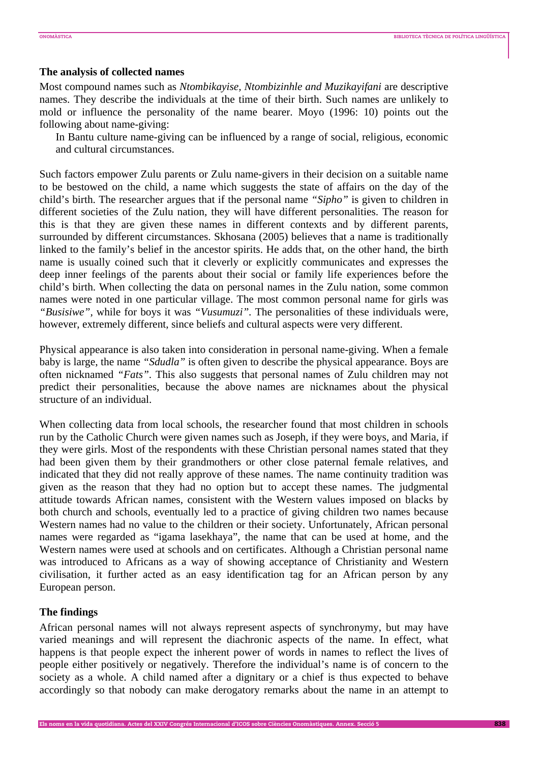#### **The analysis of collected names**

Most compound names such as *Ntombikayise, Ntombizinhle and Muzikayifani* are descriptive names. They describe the individuals at the time of their birth. Such names are unlikely to mold or influence the personality of the name bearer. Moyo (1996: 10) points out the following about name-giving:

In Bantu culture name-giving can be influenced by a range of social, religious, economic and cultural circumstances.

Such factors empower Zulu parents or Zulu name-givers in their decision on a suitable name to be bestowed on the child, a name which suggests the state of affairs on the day of the child's birth. The researcher argues that if the personal name *"Sipho"* is given to children in different societies of the Zulu nation, they will have different personalities. The reason for this is that they are given these names in different contexts and by different parents, surrounded by different circumstances. Skhosana (2005) believes that a name is traditionally linked to the family's belief in the ancestor spirits. He adds that, on the other hand, the birth name is usually coined such that it cleverly or explicitly communicates and expresses the deep inner feelings of the parents about their social or family life experiences before the child's birth. When collecting the data on personal names in the Zulu nation, some common names were noted in one particular village. The most common personal name for girls was *"Busisiwe",* while for boys it was *"Vusumuzi".* The personalities of these individuals were, however, extremely different, since beliefs and cultural aspects were very different.

Physical appearance is also taken into consideration in personal name-giving. When a female baby is large, the name *"Sdudla"* is often given to describe the physical appearance. Boys are often nicknamed *"Fats"*. This also suggests that personal names of Zulu children may not predict their personalities, because the above names are nicknames about the physical structure of an individual.

When collecting data from local schools, the researcher found that most children in schools run by the Catholic Church were given names such as Joseph, if they were boys, and Maria, if they were girls. Most of the respondents with these Christian personal names stated that they had been given them by their grandmothers or other close paternal female relatives, and indicated that they did not really approve of these names. The name continuity tradition was given as the reason that they had no option but to accept these names. The judgmental attitude towards African names, consistent with the Western values imposed on blacks by both church and schools, eventually led to a practice of giving children two names because Western names had no value to the children or their society. Unfortunately, African personal names were regarded as "igama lasekhaya", the name that can be used at home, and the Western names were used at schools and on certificates. Although a Christian personal name was introduced to Africans as a way of showing acceptance of Christianity and Western civilisation, it further acted as an easy identification tag for an African person by any European person.

#### **The findings**

African personal names will not always represent aspects of synchronymy, but may have varied meanings and will represent the diachronic aspects of the name. In effect, what happens is that people expect the inherent power of words in names to reflect the lives of people either positively or negatively. Therefore the individual's name is of concern to the society as a whole. A child named after a dignitary or a chief is thus expected to behave accordingly so that nobody can make derogatory remarks about the name in an attempt to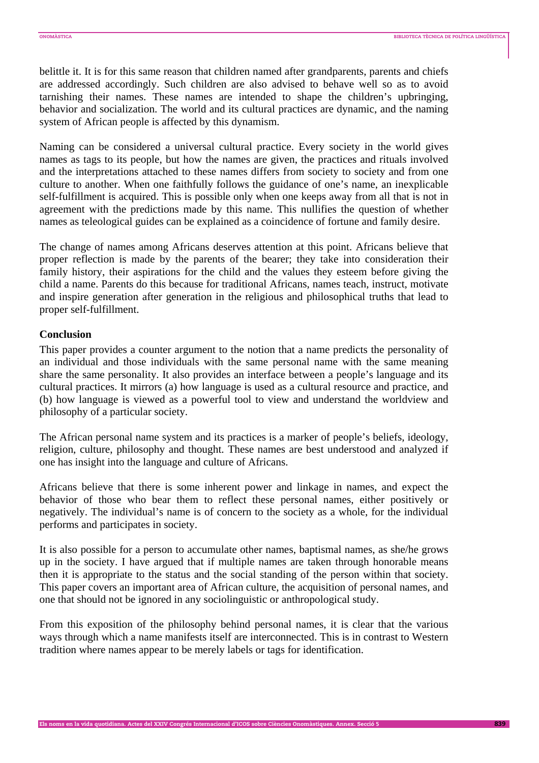belittle it. It is for this same reason that children named after grandparents, parents and chiefs are addressed accordingly. Such children are also advised to behave well so as to avoid tarnishing their names. These names are intended to shape the children's upbringing, behavior and socialization. The world and its cultural practices are dynamic, and the naming system of African people is affected by this dynamism.

Naming can be considered a universal cultural practice. Every society in the world gives names as tags to its people, but how the names are given, the practices and rituals involved and the interpretations attached to these names differs from society to society and from one culture to another. When one faithfully follows the guidance of one's name, an inexplicable self-fulfillment is acquired. This is possible only when one keeps away from all that is not in agreement with the predictions made by this name. This nullifies the question of whether names as teleological guides can be explained as a coincidence of fortune and family desire.

The change of names among Africans deserves attention at this point. Africans believe that proper reflection is made by the parents of the bearer; they take into consideration their family history, their aspirations for the child and the values they esteem before giving the child a name. Parents do this because for traditional Africans, names teach, instruct, motivate and inspire generation after generation in the religious and philosophical truths that lead to proper self-fulfillment.

# **Conclusion**

This paper provides a counter argument to the notion that a name predicts the personality of an individual and those individuals with the same personal name with the same meaning share the same personality. It also provides an interface between a people's language and its cultural practices. It mirrors (a) how language is used as a cultural resource and practice, and (b) how language is viewed as a powerful tool to view and understand the worldview and philosophy of a particular society.

The African personal name system and its practices is a marker of people's beliefs, ideology, religion, culture, philosophy and thought. These names are best understood and analyzed if one has insight into the language and culture of Africans.

Africans believe that there is some inherent power and linkage in names, and expect the behavior of those who bear them to reflect these personal names, either positively or negatively. The individual's name is of concern to the society as a whole, for the individual performs and participates in society.

It is also possible for a person to accumulate other names, baptismal names, as she/he grows up in the society. I have argued that if multiple names are taken through honorable means then it is appropriate to the status and the social standing of the person within that society. This paper covers an important area of African culture, the acquisition of personal names, and one that should not be ignored in any sociolinguistic or anthropological study.

From this exposition of the philosophy behind personal names, it is clear that the various ways through which a name manifests itself are interconnected. This is in contrast to Western tradition where names appear to be merely labels or tags for identification.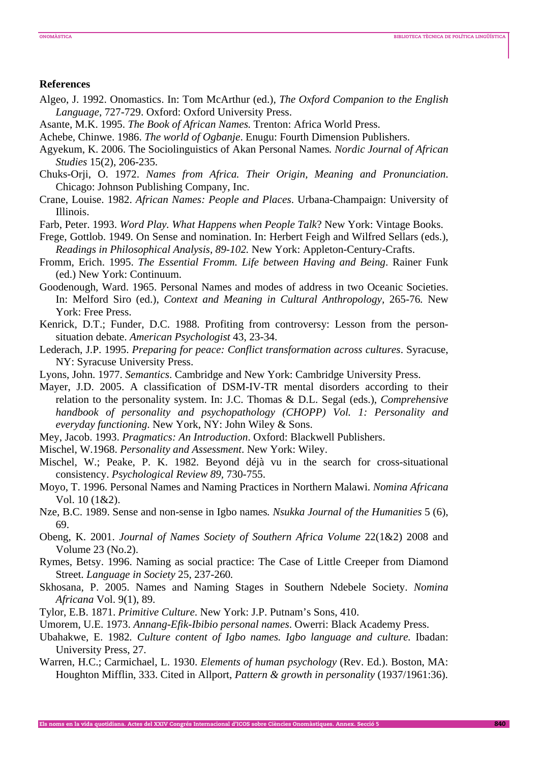#### **References**

- Algeo, J. 1992. Onomastics. In: Tom McArthur (ed.), *The Oxford Companion to the English Language*, 727-729. Oxford: Oxford University Press.
- Asante, M.K. 1995. *The Book of African Names.* Trenton: Africa World Press.
- Achebe, Chinwe. 1986. *The world of Ogbanje*. Enugu: Fourth Dimension Publishers.
- Agyekum, K. 2006. The Sociolinguistics of Akan Personal Names*. Nordic Journal of African Studies* 15(2), 206-235.
- Chuks-Orji, O. 1972. *Names from Africa. Their Origin, Meaning and Pronunciation*. Chicago: Johnson Publishing Company, Inc.
- Crane, Louise. 1982. *African Names: People and Places*. Urbana-Champaign: University of Illinois.
- Farb, Peter. 1993. *Word Play. What Happens when People Talk*? New York: Vintage Books.
- Frege, Gottlob. 1949. On Sense and nomination. In: Herbert Feigh and Wilfred Sellars (eds.), *Readings in Philosophical Analysis*, *89-102.* New York: Appleton-Century-Crafts.
- Fromm, Erich. 1995. *The Essential Fromm. Life between Having and Being*. Rainer Funk (ed.) New York: Continuum.
- Goodenough, Ward. 1965. Personal Names and modes of address in two Oceanic Societies. In: Melford Siro (ed.), *Context and Meaning in Cultural Anthropology,* 265-76*.* New York: Free Press.
- Kenrick, D.T.; Funder, D.C. 1988. Profiting from controversy: Lesson from the personsituation debate. *American Psychologist* 43, 23-34.
- Lederach, J.P. 1995. *Preparing for peace: Conflict transformation across cultures*. Syracuse, NY: Syracuse University Press.
- Lyons, John. 1977. *Semantics*. Cambridge and New York: Cambridge University Press.

Mayer, J.D. 2005. A classification of DSM-IV-TR mental disorders according to their relation to the personality system. In: J.C. Thomas & D.L. Segal (eds.), *Comprehensive handbook of personality and psychopathology (CHOPP) Vol. 1: Personality and everyday functioning*. New York, NY: John Wiley & Sons.

- Mey, Jacob. 1993. *Pragmatics: An Introduction*. Oxford: Blackwell Publishers.
- Mischel, W.1968. *Personality and Assessment*. New York: Wiley.
- Mischel, W.; Peake, P. K. 1982. Beyond déjà vu in the search for cross-situational consistency. *Psychological Review 89,* 730-755.
- Moyo, T. 1996. Personal Names and Naming Practices in Northern Malawi. *Nomina Africana* Vol. 10 (1&2).
- Nze, B.C. 1989. Sense and non-sense in Igbo names*. Nsukka Journal of the Humanities* 5 (6), 69.
- Obeng, K. 2001. *Journal of Names Society of Southern Africa Volume* 22(1&2) 2008 and Volume 23 (No.2).
- Rymes, Betsy. 1996. Naming as social practice: The Case of Little Creeper from Diamond Street. *Language in Society* 25, 237-260*.*
- Skhosana, P. 2005. Names and Naming Stages in Southern Ndebele Society. *Nomina Africana* Vol. 9(1), 89.
- Tylor, E.B. 1871. *Primitive Culture*. New York: J.P. Putnam's Sons, 410.
- Umorem, U.E. 1973. *Annang-Efik-Ibibio personal names*. Owerri: Black Academy Press.
- Ubahakwe, E. 1982*. Culture content of Igbo names. Igbo language and culture.* Ibadan: University Press, 27.
- Warren, H.C.; Carmichael, L. 1930. *Elements of human psychology* (Rev. Ed.). Boston, MA: Houghton Mifflin, 333. Cited in Allport, *Pattern & growth in personality* (1937/1961:36).